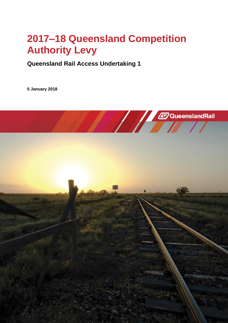# **2017-18 Queensland Competition Authority Levy**

**Queensland Rail Access Undertaking 1**

**5 January 2018**

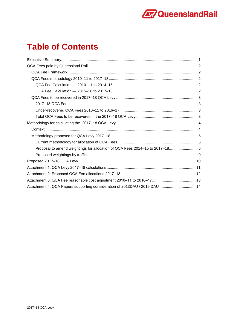

### **Table of Contents**

| Proposal to amend weightings for allocation of QCA Fees 2014-15 to 2017-18 6 |  |
|------------------------------------------------------------------------------|--|
|                                                                              |  |
|                                                                              |  |
|                                                                              |  |
|                                                                              |  |
|                                                                              |  |
| Attachment 4: QCA Papers supporting consideration of 2013DAU / 2015 DAU  14  |  |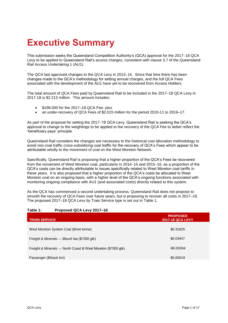## <span id="page-2-0"></span>**Executive Summary**

This submission seeks the Queensland Competition Authority's (QCA) approval for the 2017-18 QCA Levy to be applied to Queensland Rail's access charges, consistent with clause 3.7 of the Queensland Rail Access Undertaking 1 (AU1).

The QCA last approved changes to the QCA Levy in 2013-14. Since that time there has been changes made to the QCA's methodology for setting annual charges, and the full QCA Fees associated with the development of the AU1 have yet to be recovered from Access Holders.

The total amount of QCA Fees paid by Queensland Rail to be included in the 2017–18 QCA Levy in 2017-18 is \$2.213 million. This amount includes:

- \$198,000 for the 2017‒18 QCA Fee. *plus*
- an under-recovery of QCA Fees of  $$2.015$  million for the period 2010-11 to 2016-17.

As part of the proposal for setting the 2017–18 QCA Levy, Queensland Rail is seeking the QCA's approval to change to the weightings to be applied to the recovery of the QCA Fee to better reflect the 'beneficiary pays' principle.

Queensland Rail considers the changes are necessary to the historical cost allocation methodology to avoid non-coal traffic cross-subsidising coal traffic for the recovery of QCA's Fees which appear to be attributable wholly to the movement of coal on the West Moreton Network.

Specifically, Queensland Rail is proposing that a higher proportion of the QCA's Fees be recovered from the movement of West Moreton coal, particularly in 2014–15 and 2015–16, as a proportion of the QCA's costs can be directly attributable to issues specifically related to West Moreton coal tariffs in these years. It is also proposed that a higher proportion of the QCA's costs be allocated to West Moreton coal on an ongoing basis, with a higher level of the QCA's ongoing functions associated with monitoring ongoing compliance with AU1 (and associated costs) directly related to this system.

As the QCA has commenced a second undertaking process, Queensland Rail does not propose to smooth the recovery of QCA Fees over future years, but is proposing to recover all costs in 2017–18. The proposed 2017–18 QCA Levy by Train Service type is set out in Table 1.

| <b>TRAIN SERVICE</b>                                          | <b>PROPOSED</b><br><b>2017-18 QCA LEVY</b> |
|---------------------------------------------------------------|--------------------------------------------|
| West Moreton System Coal (\$/net tonne)                       | \$0.31825                                  |
| Freight & Minerals — Mount Isa (\$/'000 gtk)                  | \$0.03447                                  |
| Freight & Minerals — North Coast & West Moreton (\$/'000 gtk) | $-$0.00394$                                |
| Passenger (\$/track km)                                       | \$0.00019                                  |

#### Table 1: Proposed QCA Levy 2017-18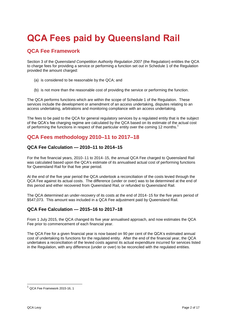## <span id="page-3-0"></span>**QCA Fees paid by Queensland Rail**

### <span id="page-3-1"></span>**QCA Fee Framework**

Section 3 of the *Queensland Competition Authority Regulation 2007* (the Regulation) entitles the QCA to charge fees for providing a service or performing a function set out in Schedule 1 of the Regulation provided the amount charged:

- (a) is considered to be reasonable by the QCA; and
- (b) is not more than the reasonable cost of providing the service or performing the function.

The QCA performs functions which are within the scope of Schedule 1 of the Regulation. These services include the development or amendment of an access undertaking, disputes relating to an access undertaking, arbitrations and monitoring compliance with an access undertaking.

The fees to be paid to the QCA for general regulatory services by a regulated entity that is the subject of the QCA's fee charging regime are calculated by the QCA based on its estimate of the actual cost of performing the functions in respect of that particular entity over the coming 12 months.<sup>1</sup>

### <span id="page-3-2"></span>**QCA Fees methodology 2010–11 to 2017–18**

#### <span id="page-3-3"></span>**QCA Fee Calculation — 2010–11 to 2014–15**

For the five financial years, 2010-11 to 2014-15, the annual QCA Fee charged to Queensland Rail was calculated based upon the QCA's estimate of its annualised actual cost of performing functions for Queensland Rail for that five year period.

At the end of the five year period the QCA undertook a reconciliation of the costs levied through the QCA Fee against its actual costs. The difference (under or over) was to be determined at the end of this period and either recovered from Queensland Rail, or refunded to Queensland Rail.

The QCA determined an under-recovery of its costs at the end of 2014–15 for the five years period of \$547,073. This amount was included in a QCA Fee adjustment paid by Queensland Rail.

#### <span id="page-3-4"></span>**QCA Fee Calculation — 2015–16 to 2017–18**

From 1 July 2015, the QCA changed its five year annualised approach, and now estimates the QCA Fee prior to commencement of each financial year.

The QCA Fee for a given financial year is now based on 90 per cent of the QCA's estimated annual cost of undertaking its functions for the regulated entity. After the end of the financial year, the QCA undertakes a reconciliation of the levied costs against its actual expenditure incurred for services listed in the Regulation, with any difference (under or over) to be reconciled with the regulated entities.

 $^1$  QCA Fee Framework 2015-16, 1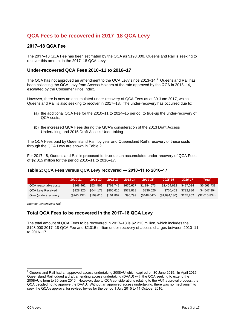### <span id="page-4-0"></span>**QCA Fees to be recovered in 2017–18 QCA Levy**

#### <span id="page-4-1"></span>**2017‒18 QCA Fee**

The 2017–18 QCA Fee has been estimated by the QCA as \$198,000. Queensland Rail is seeking to recover this amount in the 2017-18 QCA Levy.

#### <span id="page-4-2"></span>**Under-recovered QCA Fees 2010–11 to 2016–17**

The QCA has not approved an amendment to the QCA Levy since 2013–14. $^2$  Queensland Rail has been collecting the QCA Levy from Access Holders at the rate approved by the QCA in 2013–14, escalated by the Consumer Price Index.

However, there is now an accumulated under-recovery of QCA Fees as at 30 June 2017, which Queensland Rail is also seeking to recover in 2017–18. The under-recovery has occurred due to:

- (a) the additional QCA Fee for the 2010–11 to 2014–15 period, to true-up the under-recovery of QCA costs;
- (b) the increased QCA Fees during the QCA's consideration of the 2013 Draft Access Undertaking and 2015 Draft Access Undertaking.

The QCA Fees paid by Queensland Rail, by year and Queensland Rail's recovery of these costs through the QCA Levy are shown in Table 2.

For 2017-18, Queensland Rail is proposed to 'true-up' an accumulated under-recovery of QCA Fees of \$2.015 million for the period 2010-11 to 2016-17.

#### **Table 2: QCA Fees versus QCA Levy recovered — 2010‒11 to 2016‒17**

|                       | 2010-11    | $2011 - 12$ | $2012 - 13$ | $2013 - 14$ | 2014-15     | 2015-16       | 2016-17   | Total        |
|-----------------------|------------|-------------|-------------|-------------|-------------|---------------|-----------|--------------|
| QCA reasonable costs  | \$368,462  | \$534.562   | \$763.748   | \$670.627   | \$1,284,673 | \$2.454.632   | \$487.034 | \$6.563.738  |
| QCA Levy Received     | \$128.325  | \$644.178   | \$865.610   | \$579.828   | \$836.626   | \$760.452     | \$732.886 | \$4,547,904  |
| Over (under) recovery | (S240.137) | \$109.616   | \$101,862   | \$90,799    | (\$448,047) | (\$1,694,180) | \$245,852 | (S2,015,834) |

<span id="page-4-3"></span>*Source: Queensland Rail*

#### **Total QCA Fees to be recovered in the 2017‒18 QCA Levy**

The total amount of QCA Fees to be recovered in 2017–18 is \$2.213 million, which includes the \$198,000 2017-18 QCA Fee and \$2.015 million under-recovery of access charges between 2010-11 to 2016‒17.

 $\overline{a}$ 

 $^2$  Queensland Rail had an approved access undertaking 2008AU which expired on 30 June 2015. In April 2015, Queensland Rail lodged a draft amending access undertaking (DAAU) with the QCA seeking to extend the 2008AU's term to 30 June 2016. However, due to QCA considerations relating to the AU1 approval process, the QCA decided not to approve the DAAU. Without an approved access undertaking, there was no mechanism to seek the QCA's approval for revised levies for the period 1 July 2015 to 11 October 2016.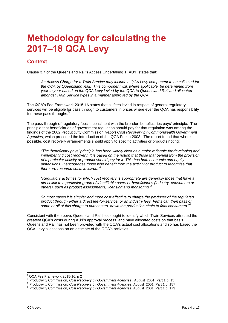## <span id="page-5-0"></span>**Methodology for calculating the 2017‒18 QCA Levy**

### <span id="page-5-1"></span>**Context**

Clause 3.7 of the Queensland Rail's Access Undertaking 1 (AU1) states that:

*An Access Charge for a Train Service may include a QCA Levy component to be collected for the QCA by Queensland Rail. This component will, where applicable, be determined from year to year based on the QCA Levy levied by the QCA to Queensland Rail and allocated amongst Train Service types in a manner approved by the QCA.* 

The QCA's Fee Framework 2015-16 states that all fees levied in respect of general regulatory services will be eligible for pass through to customers in prices where ever the QCA has responsibility for these pass throughs. $3$ 

The pass-through of regulatory fees is consistent with the broader 'beneficiaries pays' principle. The principle that beneficiaries of government regulation should pay for that regulation was among the findings of the 2002 Productivity Commission *Report Cost Recovery by Commonwealth Government Agencies*, which preceded the introduction of the QCA Fee in 2003. The report found that where possible, cost recovery arrangements should apply to specific activities or products noting:

*"The 'beneficiary pays' principle has been widely cited as a major rationale for developing and implementing cost recovery. It is based on the notion that those that benefit from the provision of a particular activity or product should pay for it. This has both economic and equity dimensions. It encourages those who benefit from the activity or product to recognise that there are resource costs involved."<sup>4</sup>*

*"Regulatory activities for which cost recovery is appropriate are generally those that have a direct link to a particular group of identifiable users or beneficiaries (industry, consumers or others), such as product assessments, licensing and monitoring."<sup>5</sup>*

*"In most cases it is simpler and more cost effective to charge the producer of the regulated product through either a direct fee-for-service, or an industry levy. Firms can then pass on some or all of this charge to purchasers, down the production chain to final consumers."<sup>6</sup>*

Consistent with the above, Queensland Rail has sought to identify which Train Services attracted the greatest QCA's costs during AU1's approval process, and have allocated costs on that basis. Queensland Rail has not been provided with the QCA's actual cost allocations and so has based the QCA Levy allocations on an estimate of the QCA's activities.

 $\overline{\phantom{a}}$  $^3$  QCA Fee Framework 2015-16, p 2

<sup>4</sup> Productivity Commission, *Cost Recovery by Government Agencies* , August 2001, Part 1 p. 15

<sup>5</sup> Productivity Commission, *Cost Recovery by Government Agencies*, August 2001, Part 1 p. 157

<sup>6</sup> Productivity Commission, *Cost Recovery by Government Agencies*, August 2001, Part 1 p. 173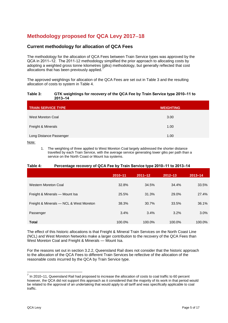### <span id="page-6-0"></span>**Methodology proposed for QCA Levy 201718**

#### <span id="page-6-1"></span>**Current methodology for allocation of QCA Fees**

The methodology for the allocation of QCA Fees between Train Service types was approved by the QCA in 2011–12. The 2011-12 methodology simplified the prior approach to allocating costs by adopting a weighted gross tonne kilometres (gtks) methodology, but generally reflected that cost allocations that has been previously applied.

The approved weightings for allocation of the QCA Fees are set out in Table 3 and the resulting allocation of costs to system in Table 4.

#### Table 3: GTK weightings for recovery of the QCA Fee by Train Service type 2010-11 to **2013‒14**

| <b>TRAIN SERVICE TYPE</b> | <b>WEIGHTING</b> |
|---------------------------|------------------|
| West Moreton Coal         | 3.00             |
| Freight & Minerals        | 1.00             |
| Long Distance Passenger   | 1.00             |

Note:

1. The weighting of three applied to West Moreton Coal largely addressed the shorter distance travelled by each Train Service, with the average service generating lower gtks per path than a service on the North Coast or Mount Isa systems.

#### **Table 4: Percentage recovery of QCA Fee by Train Service type 2010‒11 to 2013‒14**

|                                         | 2010-11 | $2011 - 12$ | $2012 - 13$ | $2013 - 14$ |
|-----------------------------------------|---------|-------------|-------------|-------------|
| Western Moreton Coal                    | 32.8%   | 34.5%       | 34.4%       | 33.5%       |
| Freight & Minerals - Mount Isa          | 25.5%   | 31.3%       | 29.0%       | 27.4%       |
| Freight & Minerals - NCL & West Moreton | 38.3%   | 30.7%       | 33.5%       | 36.1%       |
| Passenger                               | 3.4%    | 3.4%        | 3.2%        | 3.0%        |
| <b>Total</b>                            | 100.0%  | 100.0%      | 100.0%      | 100.0%      |

The effect of this historic allocations is that Freight & Mineral Train Services on the North Coast Line (NCL) and West Moreton Networks make a larger contribution to the recovery of the QCA Fees than West Moreton Coal and Freight & Minerals — Mount Isa.

For the reasons set out in section 3.2.2, Queensland Rail does not consider that the historic approach to the allocation of the QCA Fees to different Train Services be reflective of the allocation of the reasonable costs incurred by the QCA by Train Service type.

 $^7$  In 2010–11, Queensland Rail had proposed to increase the allocation of costs to coal traffic to 60 percent however, the QCA did not support this approach as it considered that the majority of its work in that period would be related to the approval of an undertaking that would apply to all tariff and was specifically applicable to coal traffic.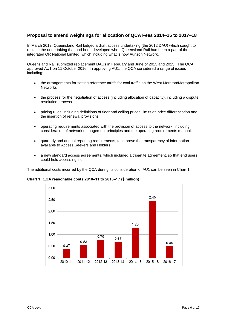#### <span id="page-7-0"></span>**Proposal to amend weightings for allocation of QCA Fees 2014–15 to 2017–18**

In March 2012, Queensland Rail lodged a draft access undertaking (the 2012 DAU) which sought to replace the undertaking that had been developed when Queensland Rail had been a part of the integrated QR National Limited, which including what is now Aurizon Network.

Queensland Rail submitted replacement DAUs in February and June of 2013 and 2015. The QCA approved AU1 on 11 October 2016. In approving AU1, the QCA considered a range of issues including:

- the arrangements for setting reference tariffs for coal traffic on the West Moreton/Metropolitan **Networks**
- the process for the negotiation of access (including allocation of capacity), including a dispute resolution process
- pricing rules, including definitions of floor and ceiling prices, limits on price differentiation and the insertion of renewal provisions
- operating requirements associated with the provision of access to the network, including consideration of network management principles and the operating requirements manual.
- quarterly and annual reporting requirements, to improve the transparency of information available to Access Seekers and Holders
- a new standard access agreements, which included a tripartite agreement, so that end users could hold access rights.

The additional costs incurred by the QCA during its consideration of AU1 can be seen in Chart 1.

**Chart 1: QCA reasonable costs 2010‒11 to 2016‒17 (\$ million)**

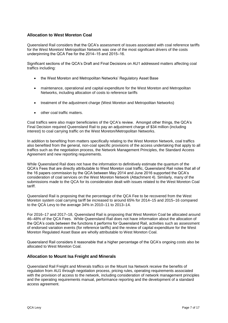#### **Allocation to West Moreton Coal**

Queensland Rail considers that the QCA's assessment of issues associated with coal reference tariffs for the West Moreton/ Metropolitan Network was one of the most significant drivers of the costs underpinning the QCA Fee for the 2014–15 and 2015–16.

Significant sections of the QCA's Draft and Final Decisions on AU1 addressed matters affecting coal traffics including:

- the West Moreton and Metropolitan Networks' Regulatory Asset Base
- maintenance, operational and capital expenditure for the West Moreton and Metropolitan Networks, including allocation of costs to reference tariffs
- treatment of the adjustment charge (West Moreton and Metropolitan Networks)
- other coal traffic matters.

Coal traffics were also major beneficiaries of the QCA's review. Amongst other things, the QCA's Final Decision required Queensland Rail to pay an adjustment charge of \$34 million (including interest) to coal carrying traffic on the West Moreton/Metropolitan Networks.

In addition to benefiting from matters specifically relating to the West Moreton Network, coal traffics also benefited from the general, non-coal specific provisions of the access undertaking that apply to all traffics such as the negotiation process, the Network Management Principles, the Standard Access Agreement and new reporting requirements.

While Queensland Rail does not have the information to definitively estimate the quantum of the QCA's Fees that are directly attributable to West Moreton coal traffic, Queensland Rail notes that all of the 16 papers commission by the QCA between May 2014 and June 2016 supported the QCA's consideration of coal services on the West Moreton Network (Attachment 4). Similarly, many of the submissions made to the QCA for its consideration dealt with issues related to the West Moreton Coal tariff.

Queensland Rail is proposing that the percentage of the QCA Fee to be recovered from the West Moreton system coal carrying tariff be increased to around 65% for 2014–15 and 2015–16 compared to the QCA Levy to the average 34% in 2010-11 to 2013-14.

For 2016–17 and 2017–18, Queensland Rail is proposing that West Moreton Coal be allocated around 46‒48% of the QCA Fees. While Queensland Rail does not have information about the allocation of the QCA's costs between the functions it performs for Queensland Rail, activities such as assessment of endorsed variation events (for reference tariffs) and the review of capital expenditure for the West Moreton Regulated Asset Base are wholly attributable to West Moreton Coal.

Queensland Rail considers it reasonable that a higher percentage of the QCA's ongoing costs also be allocated to West Moreton Coal.

#### **Allocation to Mount Isa Freight and Minerals**

Queensland Rail Freight and Minerals traffics on the Mount Isa Network receive the benefits of regulation from AU1 through negotiation process, pricing rules, operating requirements associated with the provision of access to the network, including consideration of network management principles and the operating requirements manual, performance reporting and the development of a standard access agreement.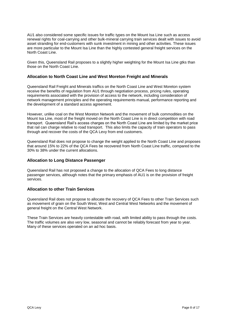AU1 also considered some specific issues for traffic types on the Mount Isa Line such as access renewal rights for coal-carrying and other bulk-mineral carrying train services dealt with issues to avoid asset stranding for end-customers with sunk investment in mining and other activities. These issues are more particular to the Mount Isa Line than the highly contested general freight services on the North Coast Line.

Given this, Queensland Rail proposes to a slightly higher weighting for the Mount Isa Line gtks than those on the North Coast Line.

#### **Allocation to North Coast Line and West Moreton Freight and Minerals**

Queensland Rail Freight and Minerals traffics on the North Coast Line and West Moreton system receive the benefits of regulation from AU1 through negotiation process, pricing rules, operating requirements associated with the provision of access to the network, including consideration of network management principles and the operating requirements manual, performance reporting and the development of a standard access agreement.

However, unlike coal on the West Moreton Network and the movement of bulk commodities on the Mount Isa Line, most of the freight moved on the North Coast Line is in direct competition with road transport. Queensland Rail's access charges on the North Coast Line are limited by the market price that rail can charge relative to road transport. This also limits the capacity of train operators to pass through and recover the costs of the QCA Levy from end customers.

Queensland Rail does not propose to change the weight applied to the North Coast Line and proposes that around 15% to 22% of the QCA Fees be recovered from North Coast Line traffic, compared to the 30% to 38% under the current allocations.

#### **Allocation to Long Distance Passenger**

Queensland Rail has not proposed a change to the allocation of QCA Fees to long distance passenger services, although notes that the primary emphasis of AU1 is on the provision of freight services.

#### **Allocation to other Train Services**

Queensland Rail does not propose to allocate the recovery of QCA Fees to other Train Services such as movement of grain on the South West, West and Central West Networks and the movement of general freight on the Central West Network.

These Train Services are heavily contestable with road, with limited ability to pass through the costs. The traffic volumes are also very low, seasonal and cannot be reliably forecast from year to year. Many of these services operated on an ad hoc basis.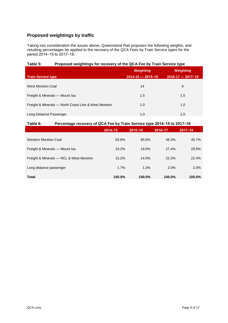#### <span id="page-10-0"></span>**Proposed weightings by traffic**

Taking into consideration the issues above, Queensland Rail proposes the following weights, and resulting percentages be applied to the recovery of the QCA Fees by Train Service types for the period 2014-15 to 2017-18.

#### **Table 5: Proposed weightings for recovery of the QCA Fee by Train Service type**

|                                                      | Weighting               | Weighting               |
|------------------------------------------------------|-------------------------|-------------------------|
| <b>Train Service type</b>                            | $2014 - 15 - 2015 - 16$ | $2016 - 17 - 2017 - 18$ |
| West Moreton Coal                                    | 14                      | 6                       |
| Freight & Minerals - Mount Isa                       | 1.5                     | 1.5                     |
| Freight & Minerals - North Coast Line & West Moreton | 1.0                     | 1.0                     |
| Long Distance Passenger                              | 1.0                     | 1.0                     |

#### **Table 6: Percentage recovery of QCA Fee by Train Service type 2014‒15 to 2017‒18**

|                                         | $2014 - 15$ | $2015 - 16$ | 2016-17 | $2017 - 18$ |
|-----------------------------------------|-------------|-------------|---------|-------------|
| Western Moreton Coal                    | 63.8%       | 65.6%       | 48.3%   | 45.7%       |
| Freight & Minerals - Mount Isa          | 19.2%       | 19.0%       | 27.4%   | 29.9%       |
| Freight & Minerals - NCL & West Moreton | 15.2%       | 14.0%       | 22.3%   | 22.4%       |
| Long distance passenger                 | 1.7%        | 1.3%        | 2.0%    | 2.0%        |
| <b>Total</b>                            | 100.0%      | 100.0%      | 100.0%  | 100.0%      |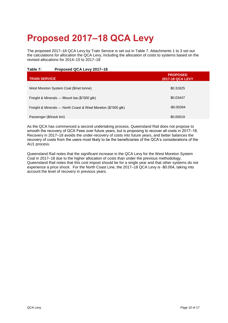## <span id="page-11-0"></span>**Proposed 2017–18 QCA Levy**

The proposed 2017–18 QCA Levy by Train Service is set out in Table 7. Attachments 1 to 3 set out the calculations for allocation the QCA Levy, including the allocation of costs to systems based on the revised allocations for 2014–15 to 2017–18

#### Table 7: Proposed QCA Levy 2017-18

| <b>TRAIN SERVICE</b>                                          | <b>PROPOSED</b><br><b>2017-18 QCA LEVY</b> |
|---------------------------------------------------------------|--------------------------------------------|
| West Moreton System Coal (\$/net tonne)                       | \$0.31825                                  |
| Freight & Minerals — Mount Isa (\$/'000 gtk)                  | \$0.03447                                  |
| Freight & Minerals — North Coast & West Moreton (\$/'000 gtk) | $-$0.00394$                                |
| Passenger (\$/track km)                                       | \$0.00019                                  |

As the QCA has commenced a second undertaking process, Queensland Rail does not propose to smooth the recovery of QCA Fees over future years, but is proposing to recover all costs in 2017-18. Recovery in 2017–18 avoids the under-recovery of costs into future years, and better balances the recovery of costs from the users most likely to be the beneficiaries of the QCA's considerations of the AU1 process.

Queensland Rail notes that the significant increase in the QCA Levy for the West Moreton System Coal in 2017–18 due to the higher allocation of costs than under the previous methodology. Queensland Rail notes that this cost impost should be for a single year and that other systems do not experience a price shock. For the North Coast Line, the 2017–18 QCA Levy is -\$0.004, taking into account the level of recovery in previous years.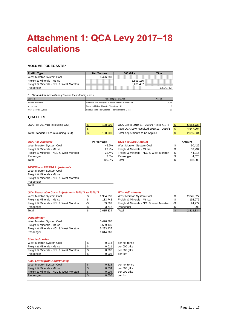## <span id="page-12-0"></span>**Attachment 1: QCA Levy 2017‒18 calculations**

#### **VOLUME FORECASTS\***

| <b>Traffic Type</b>                                                                          | <b>Net Tonnes</b>                                  | 000 Gtks                                 | <b>Tkm</b> |                |           |
|----------------------------------------------------------------------------------------------|----------------------------------------------------|------------------------------------------|------------|----------------|-----------|
| West Moreton System Coal                                                                     | 6,426,880                                          |                                          |            |                |           |
| Freight & Minerals - Mt Isa                                                                  |                                                    | 5,599,136                                |            |                |           |
| Freight & Minerals - NCL & West Moreton                                                      |                                                    | 6,283,437                                |            |                |           |
| Passenger                                                                                    |                                                    |                                          | 1,614,763  |                |           |
| Gtk and tkm forecasts only include the following areas:                                      |                                                    |                                          |            |                |           |
| System                                                                                       |                                                    | Geographical Area                        | Areas      |                |           |
| North Coast Line                                                                             | Nambour to Cairns (excl. Callemondah to Rocklands) |                                          | 5,7,8      |                |           |
| Mt Isa Line                                                                                  | Stuart to Mt Isa - Flynn to Phosphate Hill         |                                          | 9          |                |           |
| West Moreton System                                                                          | Rosewood to Toowoomba - Toowoomba to Miles         |                                          | 2,3        |                |           |
| <b>QCA FEES</b>                                                                              |                                                    |                                          |            |                |           |
| QCA Fee 2017/18 (excluding GST)                                                              | \$<br>198,000                                      | QCA Costs 2010/11 - 2016/17 (excl GST)   |            | \$             | 6,563,738 |
|                                                                                              | \$                                                 | Less QCA Levy Received 2010/11 - 2016/17 |            |                | 4,547,904 |
| Total Standard Fees (excluding GST)                                                          | \$<br>198,000                                      | Total Adjustments to be Applied          |            | \$<br>\$       | 2,015,834 |
|                                                                                              |                                                    |                                          |            |                |           |
| <b>QCA Fee Allocator</b>                                                                     | Percentage                                         | <b>QCA Fee Base Amount</b>               |            |                | Amount    |
| West Moreton System Coal                                                                     | 45.7%                                              | West Moreton System Coal                 |            | \$             | 90,429    |
| Freight & Minerals - Mt Isa                                                                  | 29.9%                                              | Freight & Minerals - Mt Isa              |            | \$             | 59,234    |
| Freight & Minerals - NCL & West Moreton                                                      | 22.4%                                              | Freight & Minerals - NCL & West Moreton  |            | \$             | 44,316    |
| Passenger                                                                                    | 2.0%                                               | Passenger                                |            | \$             | 4,020     |
| Total                                                                                        | 100.0%                                             | Total                                    |            | \$             | 198,000   |
| Freight & Minerals - Mt Isa<br>Freight & Minerals - NCL & West Moreton<br>Passenger<br>Total |                                                    |                                          |            |                |           |
|                                                                                              |                                                    |                                          |            |                |           |
| QCA Reasonable Costs Adjustments 2010/11 to 2016/17                                          |                                                    | <b>With Adjustments</b>                  |            |                |           |
| West Moreton System Coal                                                                     | 1,954,898<br>\$                                    | West Moreton System Coal                 |            | \$             | 2,045,327 |
| Freight & Minerals - Mt Isa                                                                  | \$<br>133,742                                      | Freight & Minerals - Mt Isa              |            | \$             | 192,976   |
| Freight & Minerals - NCL & West Moreton                                                      | -\$<br>69,093                                      | Freight & Minerals - NCL & West Moreton  |            | -\$            | 24,777    |
| Passenger                                                                                    | -\$<br>3,712                                       | Passenger                                |            | \$             | 308       |
| Total                                                                                        | \$<br>2,015,834                                    | Total                                    |            | $\mathfrak{S}$ | 2,213,834 |
| Denominator                                                                                  |                                                    |                                          |            |                |           |
| West Moreton System Coal                                                                     | 6,426,880                                          |                                          |            |                |           |
| Freight & Minerals - Mt Isa                                                                  | 5,599,136                                          |                                          |            |                |           |
| Freight & Minerals - NCL & West Moreton                                                      | 6,283,437                                          |                                          |            |                |           |
| Passenger                                                                                    | 1,614,763                                          |                                          |            |                |           |
| <b>Standard Levies</b>                                                                       |                                                    |                                          |            |                |           |
| West Moreton System Coal                                                                     | \$<br>0.014                                        | per net tonne                            |            |                |           |
| Freight & Minerals - Mt Isa                                                                  | \$<br>0.011                                        | per 000 gtks                             |            |                |           |
| Freight & Minerals - NCL & West Moreton                                                      | \$<br>0.007                                        | per 000 gtks                             |            |                |           |
| Passenger                                                                                    | \$<br>0.002                                        | per tkm                                  |            |                |           |
| <b>Final Levies (with Adjustments)</b>                                                       |                                                    |                                          |            |                |           |
| <b>West Moreton System Coal</b>                                                              | \$<br>0.318                                        | per net tonne                            |            |                |           |
| Freight & Minerals - Mt Isa                                                                  | \$<br>0.034                                        | per 000 gtks                             |            |                |           |
| Freight & Minerals - NCL & West Moreton                                                      | -\$<br>0.004                                       | per 000 gtks                             |            |                |           |
| Passenger                                                                                    | \$<br>0.000                                        | per tkm                                  |            |                |           |
|                                                                                              |                                                    |                                          |            |                |           |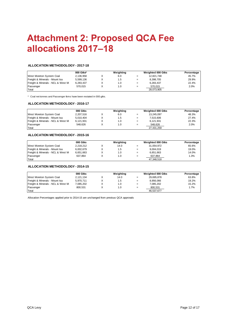## <span id="page-13-0"></span>**Attachment 2: Proposed QCA Fee allocations 2017‒18**

#### **ALLOCATION METHODOLOGY - 2017-18**

|                                   | $000$ Gtks* | Weighting |     | <b>Weighted 000 Gtks</b> | Percentage |
|-----------------------------------|-------------|-----------|-----|--------------------------|------------|
| West Moreton System Coal          | 2.136.958   | 6.0       | $=$ | 12.821.748               | 45.7%      |
| Freight & Minerals - Mount Isa    | 5.599.136   | 1.5       | $=$ | 8.398.705                | 29.9%      |
| Freight & Minerals - NCL & West M | 6.283.437   | 1.0       | $=$ | 6.283.437                | 22.4%      |
| Passenger                         | 570.015     | 1.0       | $=$ | 570,015                  | 2.0%       |
| Total                             |             |           |     | 28,073,905               |            |

\*\* Coal net tonnes and Passenger tkms have been restated in 000 gtks.

#### **ALLOCATION METHODOLOGY - 2016-17**

|                                   | 000 Gtks  | Weighting |     | Weighted 000 Gtks | Percentage |
|-----------------------------------|-----------|-----------|-----|-------------------|------------|
| West Moreton System Coal          | 2.207.516 | 6.0       | $=$ | 13.245.097        | 48.3%      |
| Freight & Minerals - Mount Isa    | 5.010.404 | 1.5       | $=$ | 7.515.606         | 27.4%      |
| Freight & Minerals - NCL & West M | 6.121.931 | 1.0       | $=$ | 6.121.931         | 22.3%      |
| Passenger                         | 548.626   | 1.0       | $=$ | 548.626           | 2.0%       |
| Total                             |           |           |     | 27.431.259        |            |

#### **ALLOCATION METHODOLOGY - 2015-16**

|                                   | 000 Gtks  | Weighting |     | <b>Weighted 000 Gtks</b> | Percentage |
|-----------------------------------|-----------|-----------|-----|--------------------------|------------|
| West Moreton System Coal          | 2.218.212 | 14.0      | $=$ | 31.054.972               | 65.6%      |
| Freight & Minerals - Mount Isa    | 6.002.679 | 1.5       | $=$ | 9.004.019                | 19.0%      |
| Freight & Minerals - NCL & West M | 6,651,663 | 1.0       | $=$ | 6.651.663                | 14.0%      |
| Passenger                         | 637.864   | 1.0       | $=$ | 637.864                  | 1.3%       |
| Total                             |           |           |     | 47.348.518               |            |

#### **ALLOCATION METHODOLOGY - 2014-15**

|                                   | 000 Gtks  | Weighting |     | <b>Weighted 000 Gtks</b> | Percentage |
|-----------------------------------|-----------|-----------|-----|--------------------------|------------|
| West Moreton System Coal          | 2.121.134 | 14.0      | $=$ | 29.695.878               | 63.8%      |
| Freight & Minerals - Mount Isa    | 5.970.711 | 1.5       | $=$ | 8.956.066                | 19.2%      |
| Freight & Minerals - NCL & West M | 7.085.202 | 1.0       | $=$ | 7.085.202                | 15.2%      |
| Passenger                         | 800.531   | 1.0       | $=$ | 800,531                  | 1.7%       |
| Total                             |           |           |     | 46.537.677               |            |

Allocation Percentages applied prior to 2014-15 are unchanged from previous QCA approvals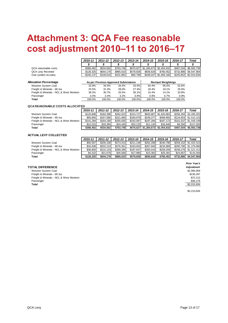### <span id="page-14-0"></span>**Attachment 3: QCA Fee reasonable cost adjustment 2010‒11 to 2016‒17**

|                                                 | 2010-11       | $2011 - 12$ | 2012-13   | 2013-14    | 2014-15                           | 2015-16                       | 2016-17   | Total                   |
|-------------------------------------------------|---------------|-------------|-----------|------------|-----------------------------------|-------------------------------|-----------|-------------------------|
|                                                 |               |             |           |            |                                   |                               |           |                         |
| QCA reasonable costs<br><b>QCA Lew Received</b> | \$368.462     | \$534.562   | \$763.748 |            | \$670.627 \$1.284.673 \$2.454.632 |                               | \$487.034 | \$6.563.738             |
|                                                 | \$128.325     | \$644.178   | \$865.610 | \$579.828  | \$836.626                         | \$760.452                     | \$732.886 | \$4.547.904             |
| Over (under) recovery                           | $-$ \$240.137 | \$109.616   | \$101.862 | $-$90.799$ |                                   | $-$ \$448.047 $-$ \$1.694.180 |           | \$245.852 - \$2.015.834 |

| Allocation Percentage                   |        | As per Previous Approved Submissions |        | <b>Revised Weightings</b> |        |        |        |
|-----------------------------------------|--------|--------------------------------------|--------|---------------------------|--------|--------|--------|
| Western System Coal                     | 32.8%  | 34.5%                                | 34.4%  | 33.5%                     | 64.4%  | 66.0%  | 52.6%  |
| Freight & Minerals - Mt Isa             | 25.5%  | 31.3%                                | 29.0%  | 27.4%                     | 19.4%  | 19.1%  | 25.6%  |
| Freight & Minerals - NCL & West Moreton | 38.3%  | 30.7%                                | 33.5%  | 36.1%                     | 15.4%  | 14.1%  | 20.8%  |
| Passenger                               | 3.4%   | 3.4%                                 | 3.2%   | 3.0%                      | 0.9%   | 0.7%   | 0.9%   |
| Total                                   | 100.0% | 100.0%                               | 100.0% | 100.0%                    | 100.0% | 100.0% | 100.0% |

#### **QCA REASONABLE COSTS ALLOCATED**

|                                         | 2010-11   | $2011 - 12$ | 2012-13   | 2013-14   | 2014-15                 | 2015-16               | 2016-17   | Total                 |
|-----------------------------------------|-----------|-------------|-----------|-----------|-------------------------|-----------------------|-----------|-----------------------|
| Western System Coal                     | \$120.808 | \$184.398   | \$262.623 | \$224.727 |                         | \$826.867 \$1.620.863 | \$256.294 | \$3.496.581           |
| Freight & Minerals - Mt Isa             | \$93.855  | \$167.580   | \$221.060 | \$183.679 | \$249.377               | \$469.950             |           | \$124.653 \$1.510.153 |
| Freight & Minerals - NCL & West Moreton | \$141.284 | \$164.190   | \$255.635 | \$242,097 | \$197.284               | \$347.173             |           | \$101.537 \$1.449.199 |
| Passenger                               | \$12.515  | \$18,394    | \$24.430  | \$20.125  | \$11.145                | \$16.646              | \$4.550   | \$107.805             |
| Total                                   | \$368,462 | \$534.562   | \$763.748 | \$670,627 | \$1,284,673 \$2,454,632 |                       | \$487,034 | \$6,563,738           |

#### **ACTUAL LEVY COLLECTED**

|                                         | 2010-11   | 2011-12   | 2012-13   | 2013-14   | 2014-15   | 2015-16   | 2016-17   | Total       |
|-----------------------------------------|-----------|-----------|-----------|-----------|-----------|-----------|-----------|-------------|
| Western System Coal                     | \$50.567  | \$205.158 | \$273.413 | \$211.148 | \$262.288 | \$240.796 | \$259.152 | \$1.502.522 |
| Freight & Minerals - Mt Isa             | \$34.636  | \$202.210 | \$276.351 | \$163.053 | \$267.940 | \$234.906 | \$200.790 | \$1.379.886 |
| Freight & Minerals - NCL & West Moreton | \$38,800  | \$215.133 | \$289.280 | \$187.647 | \$283.016 | \$259.259 | \$248.278 | \$1.521.412 |
| Passenger                               | \$4.322   | \$21.676  | \$26.566  | \$17.980  | \$23.382  | \$25.491  | \$24,667  | \$144.084   |
| Total                                   | \$128.325 | \$644.178 | \$865.610 | \$579.828 | \$836,626 | \$760.452 | \$732,886 | \$4.547.904 |

**TOTAL DIFFERENCE** *Adjustment* Western System Coal \$1,994,059 (\$1,994,059 ) & \$1,994,059 (\$1,994,059 ) & \$1,994,059 (\$1,994,059 ) & \$1,994,059<br>Preight & Minerals - Mt Isa Freight & Minerals - Mt Isa Freight & Minerals - NCL & West Moreton - 1999 - 1999 - 1999 - 1999 - 1999 - 1999 - 1999 - 1999 - 1999 - 1999 - 199<br>Passenger - 1999 - 1999 - 1999 - 1999 - 1999 - 1999 - 1999 - 1999 - 1999 - 1999 - 1999 - 1999 - 1999 - 199 Passenger - S36,279 - Samuel States - Samuel States - Samuel States - Samuel States - S36,279 - S36,279 - S36,279 **Total** \$2,015,834

*Prior Year's*

\$2,213,834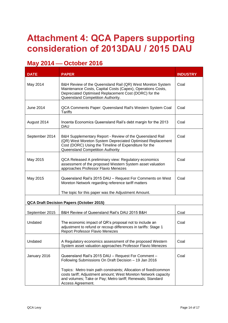## <span id="page-15-0"></span>**Attachment 4: QCA Papers supporting consideration of 2013DAU / 2015 DAU**

### **May 2014 — October 2016**

| <b>DATE</b>      | <b>PAPER</b>                                                                                                                                                                                                                                      | <b>INDUSTRY</b> |
|------------------|---------------------------------------------------------------------------------------------------------------------------------------------------------------------------------------------------------------------------------------------------|-----------------|
| May 2014         | B&H Review of the Queensland Rail (QR) West Moreton System<br>Maintenance Costs, Capital Costs (Capex), Operations Costs,<br>Depreciated Optimised Replacement Cost (DORC) for the<br>Queensland Competition Authority.                           | Coal            |
| <b>June 2014</b> | QCA Comments Paper: Queensland Rail's Western System Coal<br>Tariffs                                                                                                                                                                              | Coal            |
| August 2014      | Incenta Economics Queensland Rail's debt margin for the 2013<br><b>DAU</b>                                                                                                                                                                        | Coal            |
| September 2014   | B&H Supplementary Report - Review of the Queensland Rail<br>(QR) West Moreton System Depreciated Optimised Replacement<br>Cost (DORC) Using the Timeline of Expenditure for the<br>Queensland Competition Authority                               | Coal            |
| May 2015         | QCA Released A preliminary view: Regulatory economics<br>assessment of the proposed Western System asset valuation<br>approaches Professor Flavio Menezes                                                                                         | Coal            |
| May 2015         | Queensland Rail's 2015 DAU - Request For Comments on West<br>Moreton Network regarding reference tariff matters                                                                                                                                   | Coal            |
|                  | The topic for this paper was the Adjustment Amount.                                                                                                                                                                                               |                 |
|                  | QCA Draft Decision Papers (October 2015)                                                                                                                                                                                                          |                 |
| September 2015   | B&H Review of Queensland Rail's DAU 2015 B&H                                                                                                                                                                                                      | Coal            |
| Undated          | The economic impact of QR's proposal not to include an<br>adjustment to refund or recoup differences in tariffs: Stage 1<br><b>Report Professor Flavio Menezes</b>                                                                                | Coal            |
| Undated          | A Regulatory economics assessment of the proposed Western<br>System asset valuation approaches Professor Flavio Menezes                                                                                                                           | Coal            |
| January 2016     | Queensland Rail's 2015 DAU - Request For Comment -<br>Following Submissions On Draft Decision - 19 Jan 2016<br>Topics: Metro train path constraints; Allocation of fixed/common<br>costs tariff; Adjustment amount; West Moreton Network capacity | Coal            |
|                  | and volumes; Take or Pay; Metro tariff; Renewals; Standard<br>Access Agreement.                                                                                                                                                                   |                 |